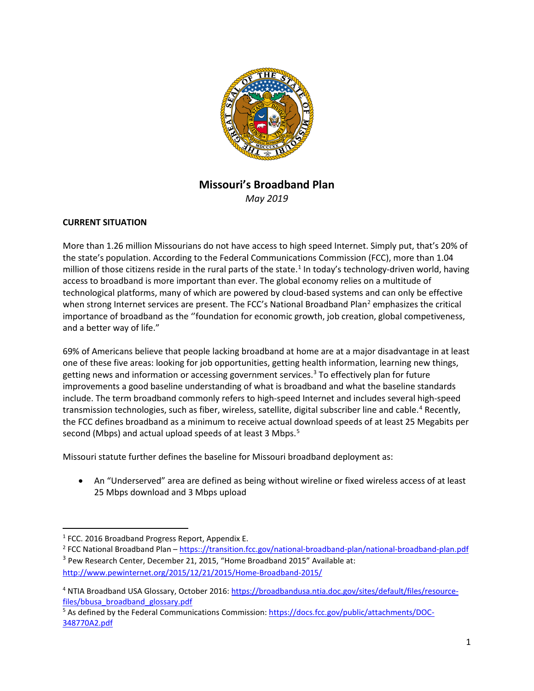

# **Missouri's Broadband Plan**

*May 2019*

### **CURRENT SITUATION**

More than 1.26 million Missourians do not have access to high speed Internet. Simply put, that's 20% of the state's population. According to the Federal Communications Commission (FCC), more than 1.04 million of those citizens reside in the rural parts of the state.<sup>[1](#page-0-0)</sup> In today's technology-driven world, having access to broadband is more important than ever. The global economy relies on a multitude of technological platforms, many of which are powered by cloud-based systems and can only be effective when strong Internet services are present. The FCC's National Broadband Plan<sup>[2](#page-0-1)</sup> emphasizes the critical importance of broadband as the ''foundation for economic growth, job creation, global competiveness, and a better way of life."

69% of Americans believe that people lacking broadband at home are at a major disadvantage in at least one of these five areas: looking for job opportunities, getting health information, learning new things, getting news and information or accessing government services. [3](#page-0-2) To effectively plan for future improvements a good baseline understanding of what is broadband and what the baseline standards include. The term broadband commonly refers to high-speed Internet and includes several high-speed transmission technologies, such as fiber, wireless, satellite, digital subscriber line and cable.<sup>[4](#page-0-3)</sup> Recently, the FCC defines broadband as a minimum to receive actual download speeds of at least 25 Megabits per second (Mbps) and actual upload speeds of at least 3 Mbps.<sup>[5](#page-0-4)</sup>

Missouri statute further defines the baseline for Missouri broadband deployment as:

• An "Underserved" area are defined as being without wireline or fixed wireless access of at least 25 Mbps download and 3 Mbps upload

<span id="page-0-0"></span><sup>&</sup>lt;sup>1</sup> FCC. 2016 Broadband Progress Report, Appendix E.

<span id="page-0-2"></span><span id="page-0-1"></span><sup>&</sup>lt;sup>2</sup> FCC National Broadband Plan – https:://transition.fcc.gov/national-broadband-plan/national-broadband-plan.pdf <sup>3</sup> Pew Research Center, December 21, 2015, "Home Broadband 2015" Available at: <http://www.pewinternet.org/2015/12/21/2015/Home-Broadband-2015/>

<span id="page-0-3"></span><sup>4</sup> NTIA Broadband USA Glossary, October 2016[: https://broadbandusa.ntia.doc.gov/sites/default/files/resource](https://broadbandusa.ntia.doc.gov/sites/default/files/resource-files/bbusa_broadband_glossary.pdf)[files/bbusa\\_broadband\\_glossary.pdf](https://broadbandusa.ntia.doc.gov/sites/default/files/resource-files/bbusa_broadband_glossary.pdf)

<span id="page-0-4"></span><sup>&</sup>lt;sup>5</sup> As defined by the Federal Communications Commission[: https://docs.fcc.gov/public/attachments/DOC-](https://docs.fcc.gov/public/attachments/DOC-348770A2.pdf)[348770A2.pdf](https://docs.fcc.gov/public/attachments/DOC-348770A2.pdf)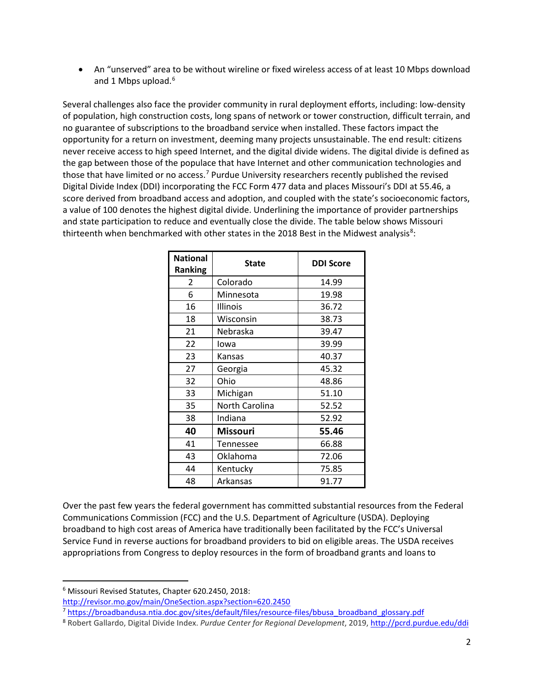• An "unserved" area to be without wireline or fixed wireless access of at least 10 Mbps download and 1 Mbps upload. [6](#page-1-0)

Several challenges also face the provider community in rural deployment efforts, including: low-density of population, high construction costs, long spans of network or tower construction, difficult terrain, and no guarantee of subscriptions to the broadband service when installed. These factors impact the opportunity for a return on investment, deeming many projects unsustainable. The end result: citizens never receive access to high speed Internet, and the digital divide widens. The digital divide is defined as the gap between those of the populace that have Internet and other communication technologies and those that have limited or no access.<sup>[7](#page-1-1)</sup> Purdue University researchers recently published the revised Digital Divide Index (DDI) incorporating the FCC Form 477 data and places Missouri's DDI at 55.46, a score derived from broadband access and adoption, and coupled with the state's socioeconomic factors, a value of 100 denotes the highest digital divide. Underlining the importance of provider partnerships and state participation to reduce and eventually close the divide. The table below shows Missouri thirteenth when benchmarked with other states in the 201[8](#page-1-2) Best in the Midwest analysis<sup>8</sup>:

| <b>National</b><br><b>Ranking</b> | <b>State</b>   | <b>DDI Score</b> |
|-----------------------------------|----------------|------------------|
| $\mathcal{P}$                     | Colorado       | 14.99            |
| 6                                 | Minnesota      | 19.98            |
| 16                                | Illinois       | 36.72            |
| 18                                | Wisconsin      | 38.73            |
| 21                                | Nebraska       | 39.47            |
| 22                                | lowa           | 39.99            |
| 23                                | Kansas         | 40.37            |
| 27                                | Georgia        | 45.32            |
| 32                                | Ohio           | 48.86            |
| 33                                | Michigan       | 51.10            |
| 35                                | North Carolina | 52.52            |
| 38                                | Indiana        | 52.92            |
| 40                                | Missouri       | 55.46            |
| 41                                | Tennessee      | 66.88            |
| 43                                | Oklahoma       | 72.06            |
| 44                                | Kentucky       | 75.85            |
| 48                                | Arkansas       | 91.77            |

Over the past few years the federal government has committed substantial resources from the Federal Communications Commission (FCC) and the U.S. Department of Agriculture (USDA). Deploying broadband to high cost areas of America have traditionally been facilitated by the FCC's Universal Service Fund in reverse auctions for broadband providers to bid on eligible areas. The USDA receives appropriations from Congress to deploy resources in the form of broadband grants and loans to

<span id="page-1-0"></span> <sup>6</sup> Missouri Revised Statutes, Chapter 620.2450, 2018:

<http://revisor.mo.gov/main/OneSection.aspx?section=620.2450>

<span id="page-1-1"></span><sup>7</sup> [https://broadbandusa.ntia.doc.gov/sites/default/files/resource-files/bbusa\\_broadband\\_glossary.pdf](https://broadbandusa.ntia.doc.gov/sites/default/files/resource-files/bbusa_broadband_glossary.pdf)

<span id="page-1-2"></span><sup>8</sup> Robert Gallardo, Digital Divide Index. *Purdue Center for Regional Development*, 2019, <http://pcrd.purdue.edu/ddi>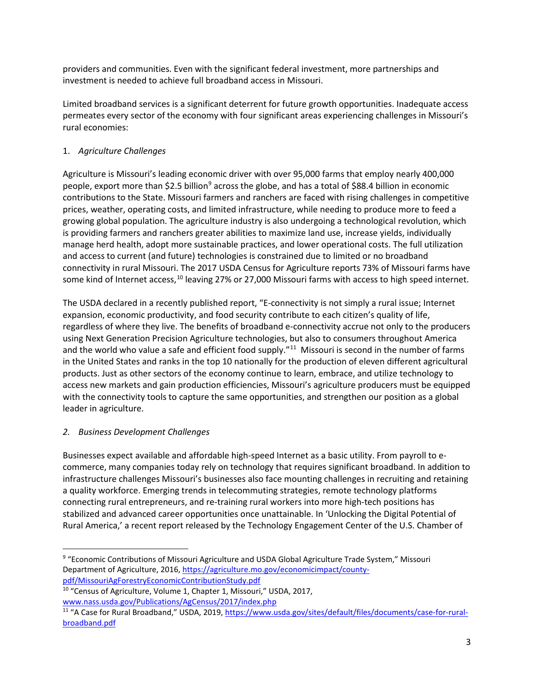providers and communities. Even with the significant federal investment, more partnerships and investment is needed to achieve full broadband access in Missouri.

Limited broadband services is a significant deterrent for future growth opportunities. Inadequate access permeates every sector of the economy with four significant areas experiencing challenges in Missouri's rural economies:

## 1. *Agriculture Challenges*

Agriculture is Missouri's leading economic driver with over 95,000 farms that employ nearly 400,000 people, export more than \$2.5 billion<sup>[9](#page-2-0)</sup> across the globe, and has a total of \$88.4 billion in economic contributions to the State. Missouri farmers and ranchers are faced with rising challenges in competitive prices, weather, operating costs, and limited infrastructure, while needing to produce more to feed a growing global population. The agriculture industry is also undergoing a technological revolution, which is providing farmers and ranchers greater abilities to maximize land use, increase yields, individually manage herd health, adopt more sustainable practices, and lower operational costs. The full utilization and access to current (and future) technologies is constrained due to limited or no broadband connectivity in rural Missouri. The 2017 USDA Census for Agriculture reports 73% of Missouri farms have some kind of Internet access,<sup>[10](#page-2-1)</sup> leaving 27% or 27,000 Missouri farms with access to high speed internet.

The USDA declared in a recently published report, "E-connectivity is not simply a rural issue; Internet expansion, economic productivity, and food security contribute to each citizen's quality of life, regardless of where they live. The benefits of broadband e-connectivity accrue not only to the producers using Next Generation Precision Agriculture technologies, but also to consumers throughout America and the world who value a safe and efficient food supply."<sup>11</sup> Missouri is second in the number of farms in the United States and ranks in the top 10 nationally for the production of eleven different agricultural products. Just as other sectors of the economy continue to learn, embrace, and utilize technology to access new markets and gain production efficiencies, Missouri's agriculture producers must be equipped with the connectivity tools to capture the same opportunities, and strengthen our position as a global leader in agriculture.

## *2. Business Development Challenges*

Businesses expect available and affordable high-speed Internet as a basic utility. From payroll to ecommerce, many companies today rely on technology that requires significant broadband. In addition to infrastructure challenges Missouri's businesses also face mounting challenges in recruiting and retaining a quality workforce. Emerging trends in telecommuting strategies, remote technology platforms connecting rural entrepreneurs, and re-training rural workers into more high-tech positions has stabilized and advanced career opportunities once unattainable. In 'Unlocking the Digital Potential of Rural America,' a recent report released by the Technology Engagement Center of the U.S. Chamber of

<span id="page-2-0"></span> <sup>9</sup> "Economic Contributions of Missouri Agriculture and USDA Global Agriculture Trade System," Missouri Department of Agriculture, 2016, [https://agriculture.mo.gov/economicimpact/county](https://agriculture.mo.gov/economicimpact/county-pdf/MissouriAgForestryEconomicContributionStudy.pdf)[pdf/MissouriAgForestryEconomicContributionStudy.pdf](https://agriculture.mo.gov/economicimpact/county-pdf/MissouriAgForestryEconomicContributionStudy.pdf)

<span id="page-2-1"></span><sup>&</sup>lt;sup>10</sup> "Census of Agriculture, Volume 1, Chapter 1, Missouri," USDA, 2017, [www.nass.usda.gov/Publications/AgCensus/2017/index.php](http://www.nass.usda.gov/Publications/AgCensus/2017/index.php)

<span id="page-2-2"></span><sup>&</sup>lt;sup>11</sup> "A Case for Rural Broadband," USDA, 2019, [https://www.usda.gov/sites/default/files/documents/case-for-rural](https://www.usda.gov/sites/default/files/documents/case-for-rural-broadband.pdf)[broadband.pdf](https://www.usda.gov/sites/default/files/documents/case-for-rural-broadband.pdf)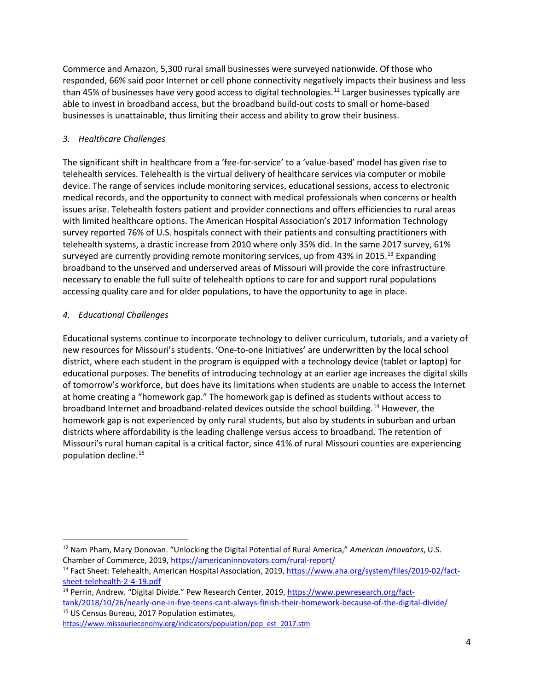Commerce and Amazon, 5,300 rural small businesses were surveyed nationwide. Of those who responded, 66% said poor Internet or cell phone connectivity negatively impacts their business and less than 45% of businesses have very good access to digital technologies.<sup>[12](#page-3-0)</sup> Larger businesses typically are able to invest in broadband access, but the broadband build-out costs to small or home-based businesses is unattainable, thus limiting their access and ability to grow their business.

## *3. Healthcare Challenges*

The significant shift in healthcare from a 'fee-for-service' to a 'value-based' model has given rise to telehealth services. Telehealth is the virtual delivery of healthcare services via computer or mobile device. The range of services include monitoring services, educational sessions, access to electronic medical records, and the opportunity to connect with medical professionals when concerns or health issues arise. Telehealth fosters patient and provider connections and offers efficiencies to rural areas with limited healthcare options. The American Hospital Association's 2017 Information Technology survey reported 76% of U.S. hospitals connect with their patients and consulting practitioners with telehealth systems, a drastic increase from 2010 where only 35% did. In the same 2017 survey, 61% surveyed are currently providing remote monitoring services, up from 43% in 2015.<sup>13</sup> Expanding broadband to the unserved and underserved areas of Missouri will provide the core infrastructure necessary to enable the full suite of telehealth options to care for and support rural populations accessing quality care and for older populations, to have the opportunity to age in place.

## *4. Educational Challenges*

Educational systems continue to incorporate technology to deliver curriculum, tutorials, and a variety of new resources for Missouri's students. 'One-to-one Initiatives' are underwritten by the local school district, where each student in the program is equipped with a technology device (tablet or laptop) for educational purposes. The benefits of introducing technology at an earlier age increases the digital skills of tomorrow's workforce, but does have its limitations when students are unable to access the Internet at home creating a "homework gap." The homework gap is defined as students without access to broadband Internet and broadband-related devices outside the school building.[14](#page-3-2) However, the homework gap is not experienced by only rural students, but also by students in suburban and urban districts where affordability is the leading challenge versus access to broadband. The retention of Missouri's rural human capital is a critical factor, since 41% of rural Missouri counties are experiencing population decline. [15](#page-3-3)

<span id="page-3-3"></span>[tank/2018/10/26/nearly-one-in-five-teens-cant-always-finish-their-homework-because-of-the-digital-divide/](https://www.pewresearch.org/fact-tank/2018/10/26/nearly-one-in-five-teens-cant-always-finish-their-homework-because-of-the-digital-divide/) <sup>15</sup> US Census Bureau, 2017 Population estimates,

[https://www.missourieconomy.org/indicators/population/pop\\_est\\_2017.stm](https://www.missourieconomy.org/indicators/population/pop_est_2017.stm)

<span id="page-3-0"></span> <sup>12</sup> Nam Pham, Mary Donovan. "Unlocking the Digital Potential of Rural America," *American Innovators*, U.S. Chamber of Commerce, 2019,<https://americaninnovators.com/rural-report/>

<span id="page-3-1"></span><sup>&</sup>lt;sup>13</sup> Fact Sheet: Telehealth, American Hospital Association, 2019, [https://www.aha.org/system/files/2019-02/fact](https://www.aha.org/system/files/2019-02/fact-sheet-telehealth-2-4-19.pdf)[sheet-telehealth-2-4-19.pdf](https://www.aha.org/system/files/2019-02/fact-sheet-telehealth-2-4-19.pdf)

<span id="page-3-2"></span><sup>&</sup>lt;sup>14</sup> Perrin, Andrew. "Digital Divide." Pew Research Center, 2019, [https://www.pewresearch.org/fact-](https://www.pewresearch.org/fact-tank/2018/10/26/nearly-one-in-five-teens-cant-always-finish-their-homework-because-of-the-digital-divide/)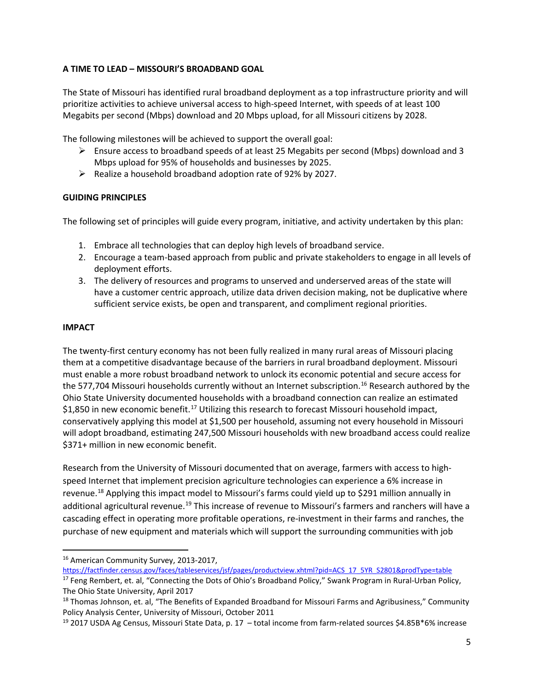## **A TIME TO LEAD – MISSOURI'S BROADBAND GOAL**

The State of Missouri has identified rural broadband deployment as a top infrastructure priority and will prioritize activities to achieve universal access to high-speed Internet, with speeds of at least 100 Megabits per second (Mbps) download and 20 Mbps upload, for all Missouri citizens by 2028.

The following milestones will be achieved to support the overall goal:

- Ensure access to broadband speeds of at least 25 Megabits per second (Mbps) download and 3 Mbps upload for 95% of households and businesses by 2025.
- $\triangleright$  Realize a household broadband adoption rate of 92% by 2027.

### **GUIDING PRINCIPLES**

The following set of principles will guide every program, initiative, and activity undertaken by this plan:

- 1. Embrace all technologies that can deploy high levels of broadband service.
- 2. Encourage a team-based approach from public and private stakeholders to engage in all levels of deployment efforts.
- 3. The delivery of resources and programs to unserved and underserved areas of the state will have a customer centric approach, utilize data driven decision making, not be duplicative where sufficient service exists, be open and transparent, and compliment regional priorities.

#### **IMPACT**

The twenty-first century economy has not been fully realized in many rural areas of Missouri placing them at a competitive disadvantage because of the barriers in rural broadband deployment. Missouri must enable a more robust broadband network to unlock its economic potential and secure access for the 577,704 Missouri households currently without an Internet subscription.<sup>[16](#page-4-0)</sup> Research authored by the Ohio State University documented households with a broadband connection can realize an estimated \$1,850 in new economic benefit.<sup>[17](#page-4-1)</sup> Utilizing this research to forecast Missouri household impact, conservatively applying this model at \$1,500 per household, assuming not every household in Missouri will adopt broadband, estimating 247,500 Missouri households with new broadband access could realize \$371+ million in new economic benefit.

Research from the University of Missouri documented that on average, farmers with access to highspeed Internet that implement precision agriculture technologies can experience a 6% increase in revenue.[18](#page-4-2) Applying this impact model to Missouri's farms could yield up to \$291 million annually in additional agricultural revenue.<sup>[19](#page-4-3)</sup> This increase of revenue to Missouri's farmers and ranchers will have a cascading effect in operating more profitable operations, re-investment in their farms and ranches, the purchase of new equipment and materials which will support the surrounding communities with job

<span id="page-4-0"></span>16 American Community Survey, 2013-2017,

[https://factfinder.census.gov/faces/tableservices/jsf/pages/productview.xhtml?pid=ACS\\_17\\_5YR\\_S2801&prodType=table](https://factfinder.census.gov/faces/tableservices/jsf/pages/productview.xhtml?pid=ACS_17_5YR_S2801&prodType=table)

<span id="page-4-1"></span><sup>&</sup>lt;sup>17</sup> Feng Rembert, et. al, "Connecting the Dots of Ohio's Broadband Policy," Swank Program in Rural-Urban Policy, The Ohio State University, April 2017

<span id="page-4-2"></span><sup>&</sup>lt;sup>18</sup> Thomas Johnson, et. al, "The Benefits of Expanded Broadband for Missouri Farms and Agribusiness," Community Policy Analysis Center, University of Missouri, October 2011

<span id="page-4-3"></span><sup>&</sup>lt;sup>19</sup> 2017 USDA Ag Census, Missouri State Data, p. 17 - total income from farm-related sources \$4.85B\*6% increase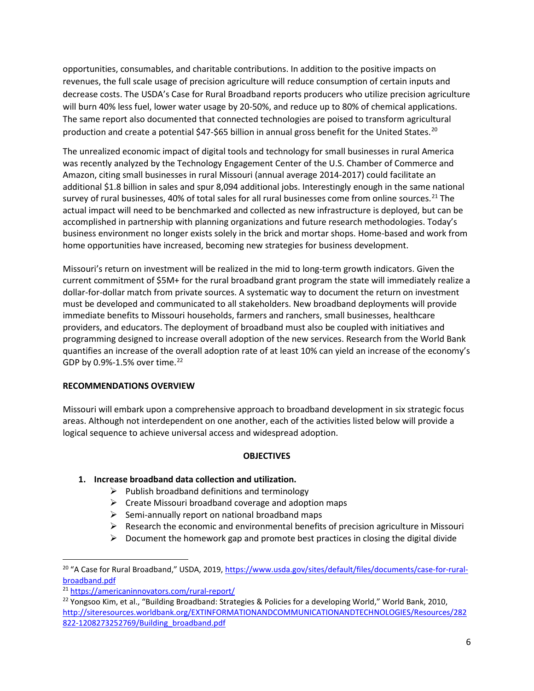opportunities, consumables, and charitable contributions. In addition to the positive impacts on revenues, the full scale usage of precision agriculture will reduce consumption of certain inputs and decrease costs. The USDA's Case for Rural Broadband reports producers who utilize precision agriculture will burn 40% less fuel, lower water usage by 20-50%, and reduce up to 80% of chemical applications. The same report also documented that connected technologies are poised to transform agricultural production and create a potential \$47-\$65 billion in annual gross benefit for the United States.<sup>[20](#page-5-0)</sup>

The unrealized economic impact of digital tools and technology for small businesses in rural America was recently analyzed by the Technology Engagement Center of the U.S. Chamber of Commerce and Amazon, citing small businesses in rural Missouri (annual average 2014-2017) could facilitate an additional \$1.8 billion in sales and spur 8,094 additional jobs. Interestingly enough in the same national survey of rural businesses, 40% of total sales for all rural businesses come from online sources.<sup>[21](#page-5-1)</sup> The actual impact will need to be benchmarked and collected as new infrastructure is deployed, but can be accomplished in partnership with planning organizations and future research methodologies. Today's business environment no longer exists solely in the brick and mortar shops. Home-based and work from home opportunities have increased, becoming new strategies for business development.

Missouri's return on investment will be realized in the mid to long-term growth indicators. Given the current commitment of \$5M+ for the rural broadband grant program the state will immediately realize a dollar-for-dollar match from private sources. A systematic way to document the return on investment must be developed and communicated to all stakeholders. New broadband deployments will provide immediate benefits to Missouri households, farmers and ranchers, small businesses, healthcare providers, and educators. The deployment of broadband must also be coupled with initiatives and programming designed to increase overall adoption of the new services. Research from the World Bank quantifies an increase of the overall adoption rate of at least 10% can yield an increase of the economy's GDP by 0.9%-1.5% over time.<sup>[22](#page-5-2)</sup>

## **RECOMMENDATIONS OVERVIEW**

Missouri will embark upon a comprehensive approach to broadband development in six strategic focus areas. Although not interdependent on one another, each of the activities listed below will provide a logical sequence to achieve universal access and widespread adoption.

### **OBJECTIVES**

## **1. Increase broadband data collection and utilization.**

- $\triangleright$  Publish broadband definitions and terminology
- $\triangleright$  Create Missouri broadband coverage and adoption maps
- $\triangleright$  Semi-annually report on national broadband maps
- $\triangleright$  Research the economic and environmental benefits of precision agriculture in Missouri
- $\triangleright$  Document the homework gap and promote best practices in closing the digital divide

<span id="page-5-0"></span><sup>&</sup>lt;sup>20</sup> "A Case for Rural Broadband," USDA, 2019, [https://www.usda.gov/sites/default/files/documents/case-for-rural](https://www.usda.gov/sites/default/files/documents/case-for-rural-broadband.pdf)[broadband.pdf](https://www.usda.gov/sites/default/files/documents/case-for-rural-broadband.pdf)

<span id="page-5-1"></span><sup>21</sup> <https://americaninnovators.com/rural-report/>

<span id="page-5-2"></span><sup>&</sup>lt;sup>22</sup> Yongsoo Kim, et al., "Building Broadband: Strategies & Policies for a developing World," World Bank, 2010, [http://siteresources.worldbank.org/EXTINFORMATIONANDCOMMUNICATIONANDTECHNOLOGIES/Resources/282](http://siteresources.worldbank.org/EXTINFORMATIONANDCOMMUNICATIONANDTECHNOLOGIES/Resources/282822-1208273252769/Building_broadband.pdf) [822-1208273252769/Building\\_broadband.pdf](http://siteresources.worldbank.org/EXTINFORMATIONANDCOMMUNICATIONANDTECHNOLOGIES/Resources/282822-1208273252769/Building_broadband.pdf)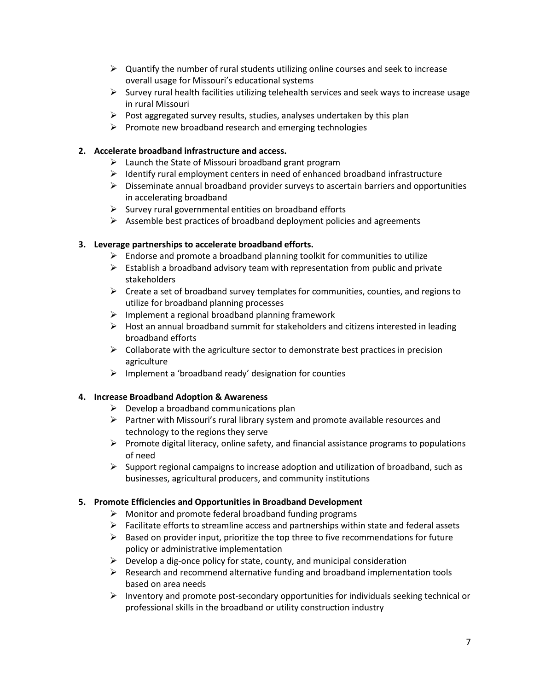- $\triangleright$  Quantify the number of rural students utilizing online courses and seek to increase overall usage for Missouri's educational systems
- $\triangleright$  Survey rural health facilities utilizing telehealth services and seek ways to increase usage in rural Missouri
- $\triangleright$  Post aggregated survey results, studies, analyses undertaken by this plan
- $\triangleright$  Promote new broadband research and emerging technologies

## **2. Accelerate broadband infrastructure and access.**

- $\triangleright$  Launch the State of Missouri broadband grant program
- $\triangleright$  Identify rural employment centers in need of enhanced broadband infrastructure
- $\triangleright$  Disseminate annual broadband provider surveys to ascertain barriers and opportunities in accelerating broadband
- $\triangleright$  Survey rural governmental entities on broadband efforts
- $\triangleright$  Assemble best practices of broadband deployment policies and agreements

## **3. Leverage partnerships to accelerate broadband efforts.**

- $\triangleright$  Endorse and promote a broadband planning toolkit for communities to utilize
- $\triangleright$  Establish a broadband advisory team with representation from public and private stakeholders
- $\triangleright$  Create a set of broadband survey templates for communities, counties, and regions to utilize for broadband planning processes
- $\triangleright$  Implement a regional broadband planning framework
- $\triangleright$  Host an annual broadband summit for stakeholders and citizens interested in leading broadband efforts
- $\triangleright$  Collaborate with the agriculture sector to demonstrate best practices in precision agriculture
- $\triangleright$  Implement a 'broadband ready' designation for counties

## **4. Increase Broadband Adoption & Awareness**

- $\triangleright$  Develop a broadband communications plan
- $\triangleright$  Partner with Missouri's rural library system and promote available resources and technology to the regions they serve
- $\triangleright$  Promote digital literacy, online safety, and financial assistance programs to populations of need
- $\triangleright$  Support regional campaigns to increase adoption and utilization of broadband, such as businesses, agricultural producers, and community institutions

## **5. Promote Efficiencies and Opportunities in Broadband Development**

- $\triangleright$  Monitor and promote federal broadband funding programs
- $\triangleright$  Facilitate efforts to streamline access and partnerships within state and federal assets
- $\triangleright$  Based on provider input, prioritize the top three to five recommendations for future policy or administrative implementation
- $\triangleright$  Develop a dig-once policy for state, county, and municipal consideration
- $\triangleright$  Research and recommend alternative funding and broadband implementation tools based on area needs
- $\triangleright$  Inventory and promote post-secondary opportunities for individuals seeking technical or professional skills in the broadband or utility construction industry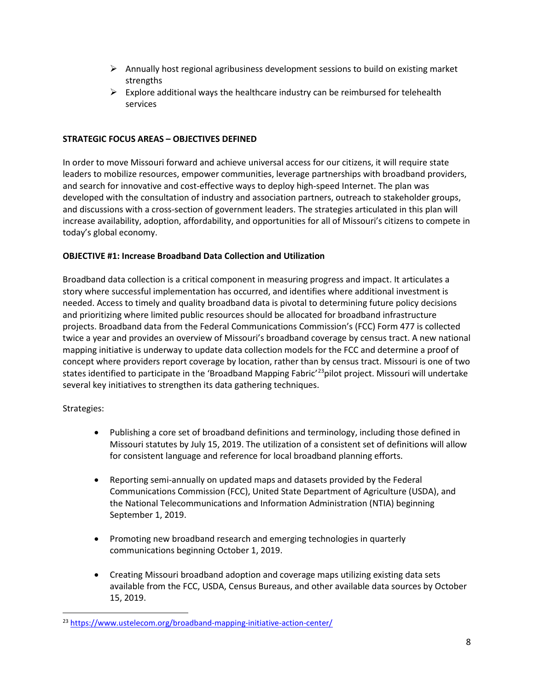- $\triangleright$  Annually host regional agribusiness development sessions to build on existing market strengths
- $\triangleright$  Explore additional ways the healthcare industry can be reimbursed for telehealth services

### **STRATEGIC FOCUS AREAS – OBJECTIVES DEFINED**

In order to move Missouri forward and achieve universal access for our citizens, it will require state leaders to mobilize resources, empower communities, leverage partnerships with broadband providers, and search for innovative and cost-effective ways to deploy high-speed Internet. The plan was developed with the consultation of industry and association partners, outreach to stakeholder groups, and discussions with a cross-section of government leaders. The strategies articulated in this plan will increase availability, adoption, affordability, and opportunities for all of Missouri's citizens to compete in today's global economy.

### **OBJECTIVE #1: Increase Broadband Data Collection and Utilization**

Broadband data collection is a critical component in measuring progress and impact. It articulates a story where successful implementation has occurred, and identifies where additional investment is needed. Access to timely and quality broadband data is pivotal to determining future policy decisions and prioritizing where limited public resources should be allocated for broadband infrastructure projects. Broadband data from the Federal Communications Commission's (FCC) Form 477 is collected twice a year and provides an overview of Missouri's broadband coverage by census tract. A new national mapping initiative is underway to update data collection models for the FCC and determine a proof of concept where providers report coverage by location, rather than by census tract. Missouri is one of two states identified to participate in the 'Broadband Mapping Fabric'<sup>23</sup>pilot project. Missouri will undertake several key initiatives to strengthen its data gathering techniques.

- Publishing a core set of broadband definitions and terminology, including those defined in Missouri statutes by July 15, 2019. The utilization of a consistent set of definitions will allow for consistent language and reference for local broadband planning efforts.
- Reporting semi-annually on updated maps and datasets provided by the Federal Communications Commission (FCC), United State Department of Agriculture (USDA), and the National Telecommunications and Information Administration (NTIA) beginning September 1, 2019.
- Promoting new broadband research and emerging technologies in quarterly communications beginning October 1, 2019.
- Creating Missouri broadband adoption and coverage maps utilizing existing data sets available from the FCC, USDA, Census Bureaus, and other available data sources by October 15, 2019.

<span id="page-7-0"></span><sup>&</sup>lt;sup>23</sup> <https://www.ustelecom.org/broadband-mapping-initiative-action-center/>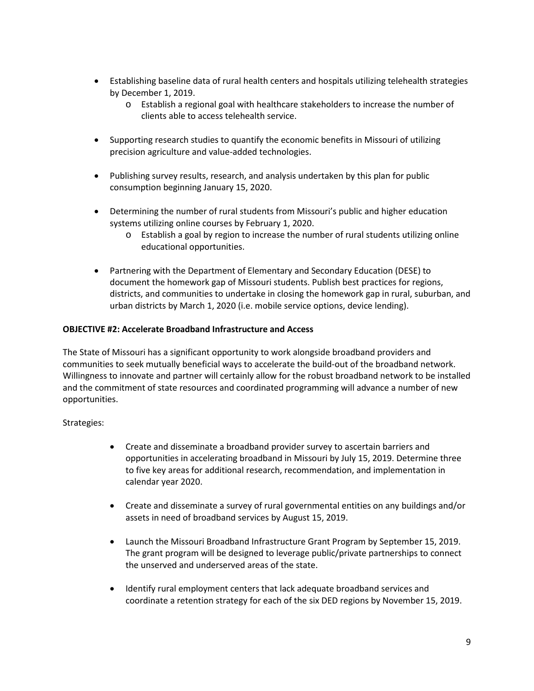- Establishing baseline data of rural health centers and hospitals utilizing telehealth strategies by December 1, 2019.
	- o Establish a regional goal with healthcare stakeholders to increase the number of clients able to access telehealth service.
- Supporting research studies to quantify the economic benefits in Missouri of utilizing precision agriculture and value-added technologies.
- Publishing survey results, research, and analysis undertaken by this plan for public consumption beginning January 15, 2020.
- Determining the number of rural students from Missouri's public and higher education systems utilizing online courses by February 1, 2020.
	- o Establish a goal by region to increase the number of rural students utilizing online educational opportunities.
- Partnering with the Department of Elementary and Secondary Education (DESE) to document the homework gap of Missouri students. Publish best practices for regions, districts, and communities to undertake in closing the homework gap in rural, suburban, and urban districts by March 1, 2020 (i.e. mobile service options, device lending).

### **OBJECTIVE #2: Accelerate Broadband Infrastructure and Access**

The State of Missouri has a significant opportunity to work alongside broadband providers and communities to seek mutually beneficial ways to accelerate the build-out of the broadband network. Willingness to innovate and partner will certainly allow for the robust broadband network to be installed and the commitment of state resources and coordinated programming will advance a number of new opportunities.

- Create and disseminate a broadband provider survey to ascertain barriers and opportunities in accelerating broadband in Missouri by July 15, 2019. Determine three to five key areas for additional research, recommendation, and implementation in calendar year 2020.
- Create and disseminate a survey of rural governmental entities on any buildings and/or assets in need of broadband services by August 15, 2019.
- Launch the Missouri Broadband Infrastructure Grant Program by September 15, 2019. The grant program will be designed to leverage public/private partnerships to connect the unserved and underserved areas of the state.
- Identify rural employment centers that lack adequate broadband services and coordinate a retention strategy for each of the six DED regions by November 15, 2019.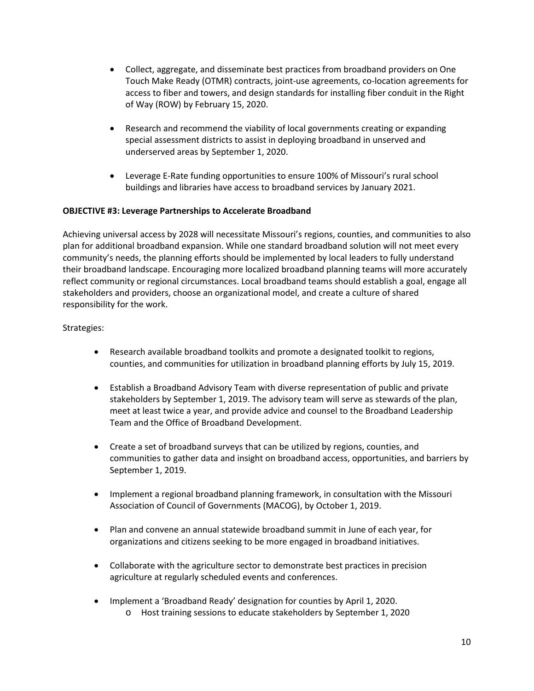- Collect, aggregate, and disseminate best practices from broadband providers on One Touch Make Ready (OTMR) contracts, joint-use agreements, co-location agreements for access to fiber and towers, and design standards for installing fiber conduit in the Right of Way (ROW) by February 15, 2020.
- Research and recommend the viability of local governments creating or expanding special assessment districts to assist in deploying broadband in unserved and underserved areas by September 1, 2020.
- Leverage E-Rate funding opportunities to ensure 100% of Missouri's rural school buildings and libraries have access to broadband services by January 2021.

### **OBJECTIVE #3: Leverage Partnerships to Accelerate Broadband**

Achieving universal access by 2028 will necessitate Missouri's regions, counties, and communities to also plan for additional broadband expansion. While one standard broadband solution will not meet every community's needs, the planning efforts should be implemented by local leaders to fully understand their broadband landscape. Encouraging more localized broadband planning teams will more accurately reflect community or regional circumstances. Local broadband teams should establish a goal, engage all stakeholders and providers, choose an organizational model, and create a culture of shared responsibility for the work.

- Research available broadband toolkits and promote a designated toolkit to regions, counties, and communities for utilization in broadband planning efforts by July 15, 2019.
- Establish a Broadband Advisory Team with diverse representation of public and private stakeholders by September 1, 2019. The advisory team will serve as stewards of the plan, meet at least twice a year, and provide advice and counsel to the Broadband Leadership Team and the Office of Broadband Development.
- Create a set of broadband surveys that can be utilized by regions, counties, and communities to gather data and insight on broadband access, opportunities, and barriers by September 1, 2019.
- Implement a regional broadband planning framework, in consultation with the Missouri Association of Council of Governments (MACOG), by October 1, 2019.
- Plan and convene an annual statewide broadband summit in June of each year, for organizations and citizens seeking to be more engaged in broadband initiatives.
- Collaborate with the agriculture sector to demonstrate best practices in precision agriculture at regularly scheduled events and conferences.
- Implement a 'Broadband Ready' designation for counties by April 1, 2020.
	- o Host training sessions to educate stakeholders by September 1, 2020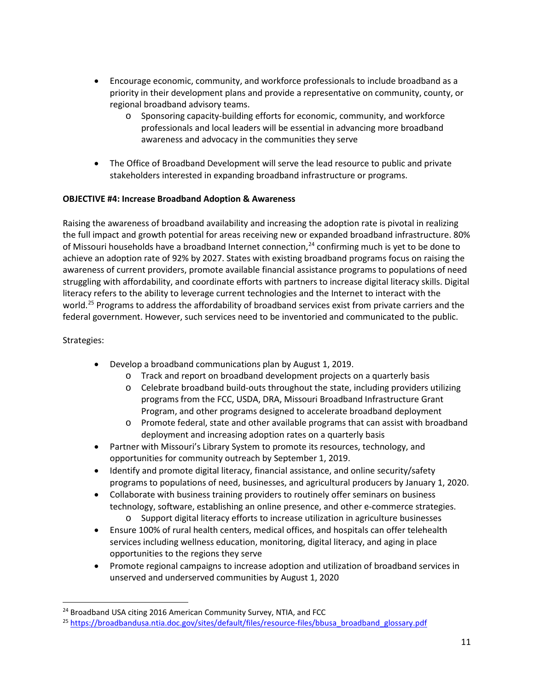- Encourage economic, community, and workforce professionals to include broadband as a priority in their development plans and provide a representative on community, county, or regional broadband advisory teams.
	- o Sponsoring capacity-building efforts for economic, community, and workforce professionals and local leaders will be essential in advancing more broadband awareness and advocacy in the communities they serve
- The Office of Broadband Development will serve the lead resource to public and private stakeholders interested in expanding broadband infrastructure or programs.

## **OBJECTIVE #4: Increase Broadband Adoption & Awareness**

Raising the awareness of broadband availability and increasing the adoption rate is pivotal in realizing the full impact and growth potential for areas receiving new or expanded broadband infrastructure. 80% of Missouri households have a broadband Internet connection,<sup>[24](#page-10-0)</sup> confirming much is yet to be done to achieve an adoption rate of 92% by 2027. States with existing broadband programs focus on raising the awareness of current providers, promote available financial assistance programs to populations of need struggling with affordability, and coordinate efforts with partners to increase digital literacy skills. Digital literacy refers to the ability to leverage current technologies and the Internet to interact with the world.<sup>[25](#page-10-1)</sup> Programs to address the affordability of broadband services exist from private carriers and the federal government. However, such services need to be inventoried and communicated to the public.

- Develop a broadband communications plan by August 1, 2019.
	- o Track and report on broadband development projects on a quarterly basis
	- $\circ$  Celebrate broadband build-outs throughout the state, including providers utilizing programs from the FCC, USDA, DRA, Missouri Broadband Infrastructure Grant Program, and other programs designed to accelerate broadband deployment
	- o Promote federal, state and other available programs that can assist with broadband deployment and increasing adoption rates on a quarterly basis
- Partner with Missouri's Library System to promote its resources, technology, and opportunities for community outreach by September 1, 2019.
- Identify and promote digital literacy, financial assistance, and online security/safety programs to populations of need, businesses, and agricultural producers by January 1, 2020.
- Collaborate with business training providers to routinely offer seminars on business technology, software, establishing an online presence, and other e-commerce strategies. o Support digital literacy efforts to increase utilization in agriculture businesses
- Ensure 100% of rural health centers, medical offices, and hospitals can offer telehealth services including wellness education, monitoring, digital literacy, and aging in place opportunities to the regions they serve
- Promote regional campaigns to increase adoption and utilization of broadband services in unserved and underserved communities by August 1, 2020

<span id="page-10-0"></span><sup>&</sup>lt;sup>24</sup> Broadband USA citing 2016 American Community Survey, NTIA, and FCC

<span id="page-10-1"></span><sup>25</sup> [https://broadbandusa.ntia.doc.gov/sites/default/files/resource-files/bbusa\\_broadband\\_glossary.pdf](https://broadbandusa.ntia.doc.gov/sites/default/files/resource-files/bbusa_broadband_glossary.pdf)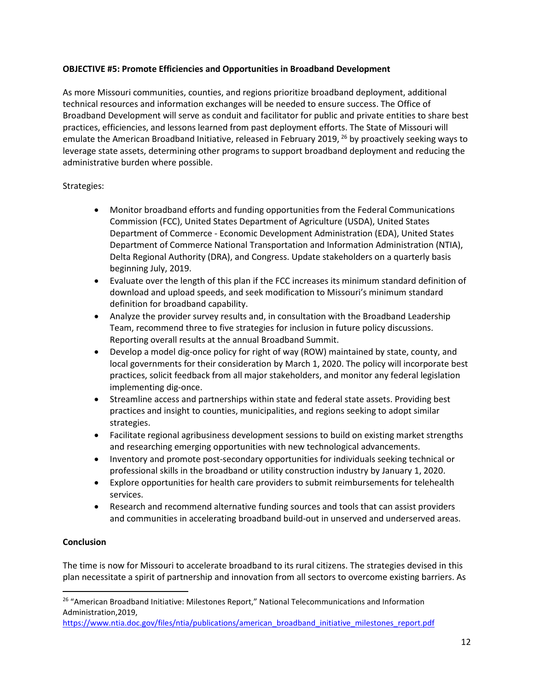### **OBJECTIVE #5: Promote Efficiencies and Opportunities in Broadband Development**

As more Missouri communities, counties, and regions prioritize broadband deployment, additional technical resources and information exchanges will be needed to ensure success. The Office of Broadband Development will serve as conduit and facilitator for public and private entities to share best practices, efficiencies, and lessons learned from past deployment efforts. The State of Missouri will emulate the American Broadband Initiative, released in February 2019, <sup>[26](#page-11-0)</sup> by proactively seeking ways to leverage state assets, determining other programs to support broadband deployment and reducing the administrative burden where possible.

### Strategies:

- Monitor broadband efforts and funding opportunities from the Federal Communications Commission (FCC), United States Department of Agriculture (USDA), United States Department of Commerce - Economic Development Administration (EDA), United States Department of Commerce National Transportation and Information Administration (NTIA), Delta Regional Authority (DRA), and Congress. Update stakeholders on a quarterly basis beginning July, 2019.
- Evaluate over the length of this plan if the FCC increases its minimum standard definition of download and upload speeds, and seek modification to Missouri's minimum standard definition for broadband capability.
- Analyze the provider survey results and, in consultation with the Broadband Leadership Team, recommend three to five strategies for inclusion in future policy discussions. Reporting overall results at the annual Broadband Summit.
- Develop a model dig-once policy for right of way (ROW) maintained by state, county, and local governments for their consideration by March 1, 2020. The policy will incorporate best practices, solicit feedback from all major stakeholders, and monitor any federal legislation implementing dig-once.
- Streamline access and partnerships within state and federal state assets. Providing best practices and insight to counties, municipalities, and regions seeking to adopt similar strategies.
- Facilitate regional agribusiness development sessions to build on existing market strengths and researching emerging opportunities with new technological advancements.
- Inventory and promote post-secondary opportunities for individuals seeking technical or professional skills in the broadband or utility construction industry by January 1, 2020.
- Explore opportunities for health care providers to submit reimbursements for telehealth services.
- Research and recommend alternative funding sources and tools that can assist providers and communities in accelerating broadband build-out in unserved and underserved areas.

## **Conclusion**

The time is now for Missouri to accelerate broadband to its rural citizens. The strategies devised in this plan necessitate a spirit of partnership and innovation from all sectors to overcome existing barriers. As

<span id="page-11-0"></span><sup>&</sup>lt;sup>26</sup> "American Broadband Initiative: Milestones Report," National Telecommunications and Information Administration,2019,

[https://www.ntia.doc.gov/files/ntia/publications/american\\_broadband\\_initiative\\_milestones\\_report.pdf](https://www.ntia.doc.gov/files/ntia/publications/american_broadband_initiative_milestones_report.pdf)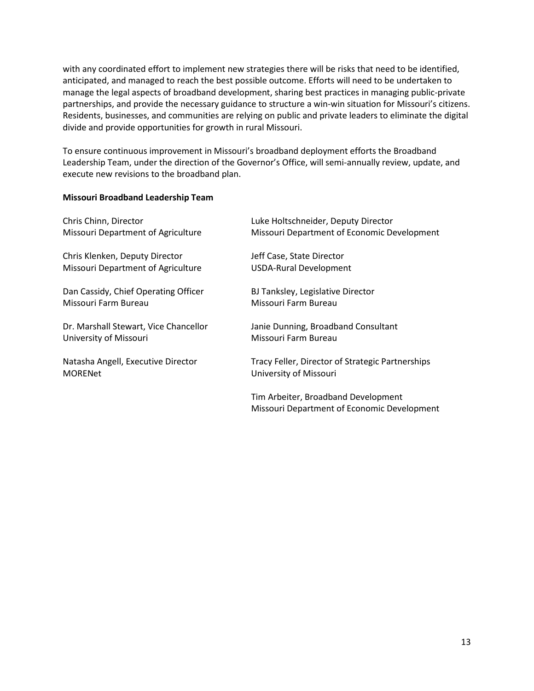with any coordinated effort to implement new strategies there will be risks that need to be identified, anticipated, and managed to reach the best possible outcome. Efforts will need to be undertaken to manage the legal aspects of broadband development, sharing best practices in managing public-private partnerships, and provide the necessary guidance to structure a win-win situation for Missouri's citizens. Residents, businesses, and communities are relying on public and private leaders to eliminate the digital divide and provide opportunities for growth in rural Missouri.

To ensure continuous improvement in Missouri's broadband deployment efforts the Broadband Leadership Team, under the direction of the Governor's Office, will semi-annually review, update, and execute new revisions to the broadband plan.

### **Missouri Broadband Leadership Team**

| Chris Chinn, Director                 | Luke Holtschneider, Deputy Director              |
|---------------------------------------|--------------------------------------------------|
| Missouri Department of Agriculture    | Missouri Department of Economic Development      |
| Chris Klenken, Deputy Director        | Jeff Case, State Director                        |
| Missouri Department of Agriculture    | <b>USDA-Rural Development</b>                    |
| Dan Cassidy, Chief Operating Officer  | BJ Tanksley, Legislative Director                |
| Missouri Farm Bureau                  | Missouri Farm Bureau                             |
| Dr. Marshall Stewart, Vice Chancellor | Janie Dunning, Broadband Consultant              |
| University of Missouri                | Missouri Farm Bureau                             |
| Natasha Angell, Executive Director    | Tracy Feller, Director of Strategic Partnerships |
| <b>MORENet</b>                        | University of Missouri                           |
|                                       | Tim Arbeiter, Broadband Development              |
|                                       | Missouri Department of Economic Development      |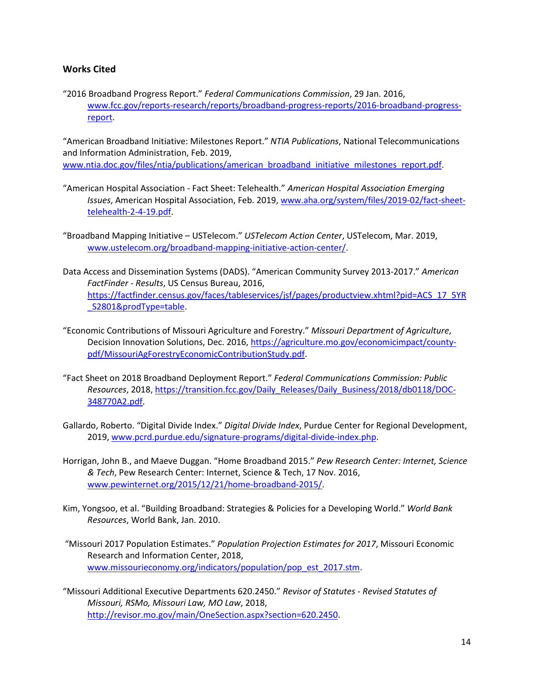### **Works Cited**

"2016 Broadband Progress Report." *Federal Communications Commission*, 29 Jan. 2016, [www.fcc.gov/reports-research/reports/broadband-progress-reports/2016-broadband-progress](http://www.fcc.gov/reports-research/reports/broadband-progress-reports/2016-broadband-progress-report)[report.](http://www.fcc.gov/reports-research/reports/broadband-progress-reports/2016-broadband-progress-report)

"American Broadband Initiative: Milestones Report." *NTIA Publications*, National Telecommunications and Information Administration, Feb. 2019, www.ntia.doc.gov/files/ntia/publications/american\_broadband\_initiative\_milestones\_report.pdf

- "American Hospital Association Fact Sheet: Telehealth." *American Hospital Association Emerging Issues*, American Hospital Association, Feb. 2019, [www.aha.org/system/files/2019-02/fact-sheet](http://www.aha.org/system/files/2019-02/fact-sheet-telehealth-2-4-19.pdf)[telehealth-2-4-19.pdf.](http://www.aha.org/system/files/2019-02/fact-sheet-telehealth-2-4-19.pdf)
- "Broadband Mapping Initiative USTelecom." *USTelecom Action Center*, USTelecom, Mar. 2019, [www.ustelecom.org/broadband-mapping-initiative-action-center/.](http://www.ustelecom.org/broadband-mapping-initiative-action-center/)
- Data Access and Dissemination Systems (DADS). "American Community Survey 2013-2017." *American FactFinder - Results*, US Census Bureau, 2016, [https://factfinder.census.gov/faces/tableservices/jsf/pages/productview.xhtml?pid=ACS\\_17\\_5YR](https://factfinder.census.gov/faces/tableservices/jsf/pages/productview.xhtml?pid=ACS_17_5YR_S2801&prodType=table) [\\_S2801&prodType=table.](https://factfinder.census.gov/faces/tableservices/jsf/pages/productview.xhtml?pid=ACS_17_5YR_S2801&prodType=table)
- "Economic Contributions of Missouri Agriculture and Forestry." *Missouri Department of Agriculture*, Decision Innovation Solutions, Dec. 2016[, https://agriculture.mo.gov/economicimpact/county](https://agriculture.mo.gov/economicimpact/county-pdf/MissouriAgForestryEconomicContributionStudy.pdf)[pdf/MissouriAgForestryEconomicContributionStudy.pdf.](https://agriculture.mo.gov/economicimpact/county-pdf/MissouriAgForestryEconomicContributionStudy.pdf)
- "Fact Sheet on 2018 Broadband Deployment Report." *Federal Communications Commission: Public Resources*, 2018, [https://transition.fcc.gov/Daily\\_Releases/Daily\\_Business/2018/db0118/DOC-](https://transition.fcc.gov/Daily_Releases/Daily_Business/2018/db0118/DOC-348770A2.pdf)[348770A2.pdf.](https://transition.fcc.gov/Daily_Releases/Daily_Business/2018/db0118/DOC-348770A2.pdf)
- Gallardo, Roberto. "Digital Divide Index." *Digital Divide Index*, Purdue Center for Regional Development, 2019, [www.pcrd.purdue.edu/signature-programs/digital-divide-index.php.](http://www.pcrd.purdue.edu/signature-programs/digital-divide-index.php)
- Horrigan, John B., and Maeve Duggan. "Home Broadband 2015." *Pew Research Center: Internet, Science & Tech*, Pew Research Center: Internet, Science & Tech, 17 Nov. 2016, [www.pewinternet.org/2015/12/21/home-broadband-2015/.](http://www.pewinternet.org/2015/12/21/home-broadband-2015/)
- Kim, Yongsoo, et al. "Building Broadband: Strategies & Policies for a Developing World." *World Bank Resources*, World Bank, Jan. 2010.
- "Missouri 2017 Population Estimates." *Population Projection Estimates for 2017*, Missouri Economic Research and Information Center, 2018, [www.missourieconomy.org/indicators/population/pop\\_est\\_2017.stm.](http://www.missourieconomy.org/indicators/population/pop_est_2017.stm)
- "Missouri Additional Executive Departments 620.2450." *Revisor of Statutes - Revised Statutes of Missouri, RSMo, Missouri Law, MO Law*, 2018, [http://revisor.mo.gov/main/OneSection.aspx?section=620.2450.](http://revisor.mo.gov/main/OneSection.aspx?section=620.2450)